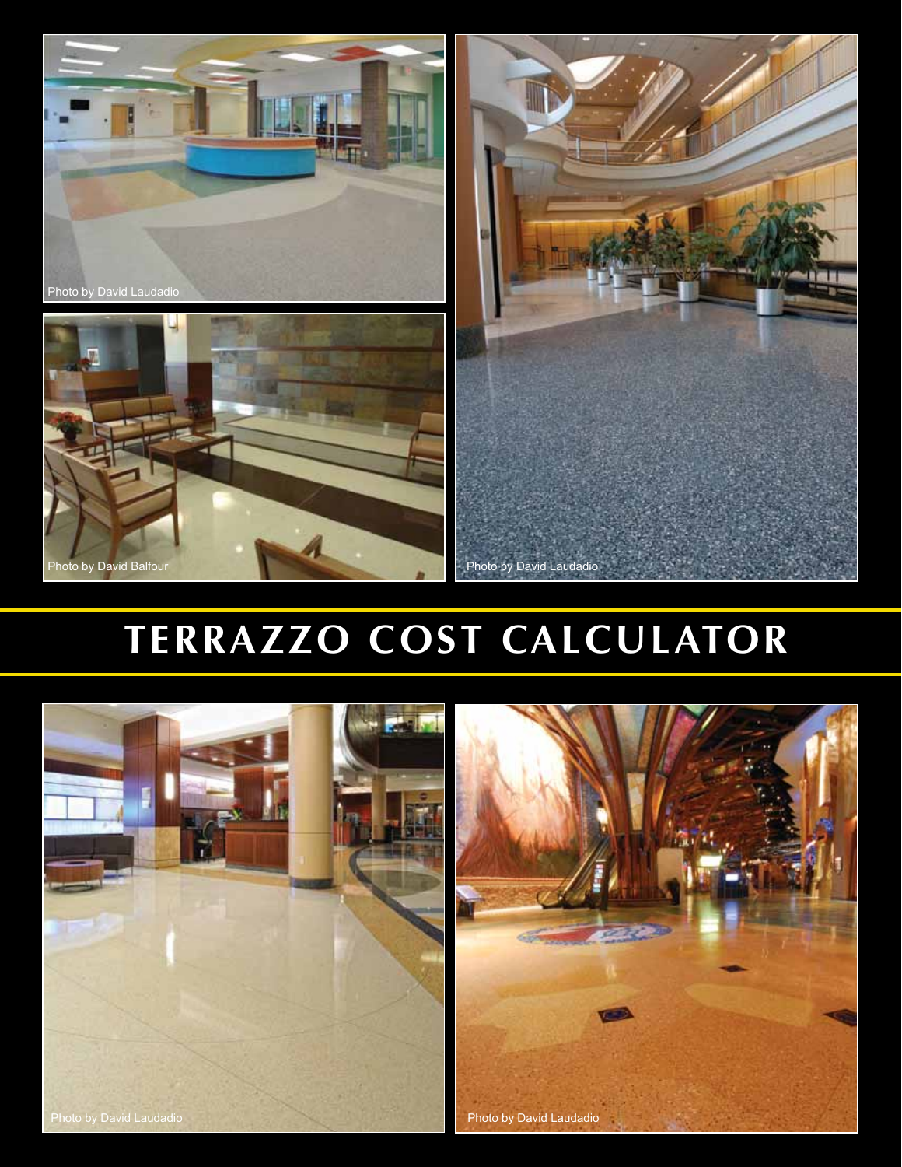





# **TERRAZZO COST CALCULATOR**

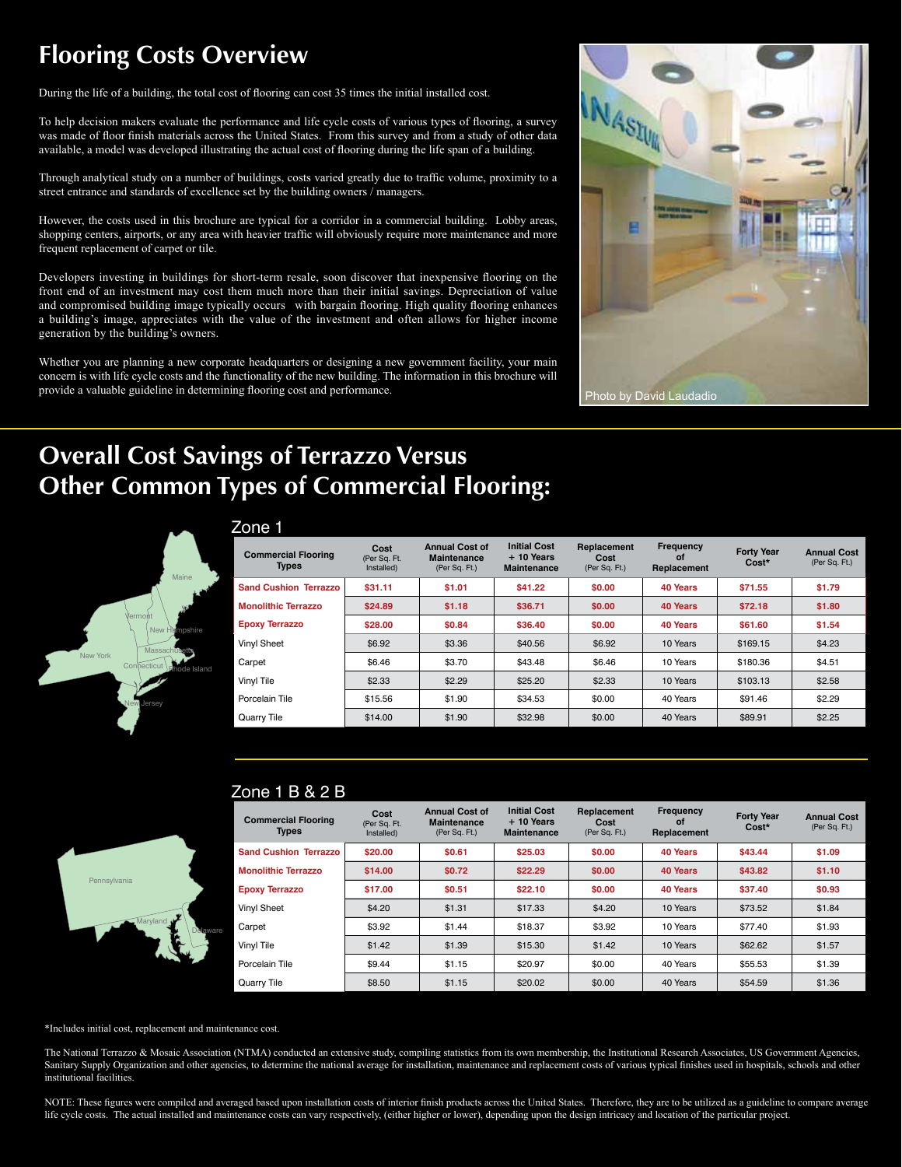## **Flooring Costs Overview**

During the life of a building, the total cost of flooring can cost 35 times the initial installed cost.

To help decision makers evaluate the performance and life cycle costs of various types of flooring, a survey was made of floor finish materials across the United States. From this survey and from a study of other data available, a model was developed illustrating the actual cost of flooring during the life span of a building.

Through analytical study on a number of buildings, costs varied greatly due to traffic volume, proximity to a street entrance and standards of excellence set by the building owners / managers.

However, the costs used in this brochure are typical for a corridor in a commercial building. Lobby areas, shopping centers, airports, or any area with heavier traffic will obviously require more maintenance and more frequent replacement of carpet or tile.

Developers investing in buildings for short-term resale, soon discover that inexpensive flooring on the front end of an investment may cost them much more than their initial savings. Depreciation of value and compromised building image typically occurs with bargain flooring. High quality flooring enhances a building's image, appreciates with the value of the investment and often allows for higher income generation by the building's owners.

Whether you are planning a new corporate headquarters or designing a new government facility, your main concern is with life cycle costs and the functionality of the new building. The information in this brochure will provide a valuable guideline in determining flooring cost and performance.



# **Overall Cost Savings of Terrazzo Versus Other Common Types of Commercial Flooring:**



|--|

| <b>Commercial Flooring</b><br><b>Types</b> | Cost<br>(Per Sq. Ft.<br>Installed) | <b>Annual Cost of</b><br><b>Maintenance</b><br>(Per Sq. Ft.) | <b>Initial Cost</b><br>$+10$ Years<br><b>Maintenance</b> | Replacement<br>Cost<br>(Per Sq. Ft.) | Frequency<br>οf<br>Replacement | <b>Forty Year</b><br>Cost* | <b>Annual Cost</b><br>(Per Sq. Ft.) |
|--------------------------------------------|------------------------------------|--------------------------------------------------------------|----------------------------------------------------------|--------------------------------------|--------------------------------|----------------------------|-------------------------------------|
| <b>Sand Cushion Terrazzo</b>               | \$31.11                            | \$1.01                                                       | \$41.22                                                  | \$0.00                               | 40 Years                       | \$71.55                    | \$1.79                              |
| <b>Monolithic Terrazzo</b>                 | \$24.89                            | \$1.18                                                       | \$36.71                                                  | \$0.00                               | 40 Years                       | \$72.18                    | \$1.80                              |
| <b>Epoxy Terrazzo</b>                      | \$28.00                            | \$0.84                                                       | \$36,40                                                  | \$0.00                               | 40 Years                       | \$61.60                    | \$1.54                              |
| Vinyl Sheet                                | \$6.92                             | \$3.36                                                       | \$40.56                                                  | \$6.92                               | 10 Years                       | \$169.15                   | \$4.23                              |
| Carpet                                     | \$6.46                             | \$3.70                                                       | \$43.48                                                  | \$6.46                               | 10 Years                       | \$180.36                   | \$4.51                              |
| Vinyl Tile                                 | \$2.33                             | \$2.29                                                       | \$25.20                                                  | \$2.33                               | 10 Years                       | \$103.13                   | \$2.58                              |
| Porcelain Tile                             | \$15.56                            | \$1.90                                                       | \$34.53                                                  | \$0.00                               | 40 Years                       | \$91.46                    | \$2.29                              |
| Quarry Tile                                | \$14.00                            | \$1.90                                                       | \$32.98                                                  | \$0.00                               | 40 Years                       | \$89.91                    | \$2.25                              |



#### **Commercial Flooring Types Cost** (Per Sq. Ft. Installed) **Annual Cost of Maintenance** (Per Sq. Ft.) **Initial Cost + 10 Years Maintenance Replacement Cost** (Per Sq. Ft.) **Frequency of Replacement Forty Year Cost\* Annual Cost** (Per Sq. Ft.) **Sand Cushion Terrazzo \$20.00 \$0.61 \$25.03 \$0.00 40 Years \$43.44 \$1.09 Monolithic Terrazzo \$14.00 \$0.72 \$22.29 \$0.00 40 Years \$43.82 \$1.10 Epoxy Terrazzo \$17.00 \$0.51 \$22.10 \$0.00 40 Years \$37.40 \$0.93**  Vinyl Sheet | \$4.20 | \$1.31 | \$17.33 | \$4.20 | 10 Years | \$73.52 | \$1.84 Carpet | \$3.92 | \$1.44 | \$18.37 | \$3.92 | 10 Years | \$77.40 | \$1.93 Vinyl Tile | \$1.42 | \$1.39 | \$15.30 | \$1.42 | 10 Years | \$62.62 | \$1.57 Porcelain Tile \$9.44 \$1.15 \$20.97 \$0.00 40 Years \$55.53 \$1.39 Zone 1 B & 2 B

Quarry Tile | \$8.50 | \$1.15 | \$20.02 | \$0.00 | 40 Years | \$54.59 | \$1.36

\*Includes initial cost, replacement and maintenance cost.

The National Terrazzo & Mosaic Association (NTMA) conducted an extensive study, compiling statistics from its own membership, the Institutional Research Associates, US Government Agencies, Sanitary Supply Organization and other agencies, to determine the national average for installation, maintenance and replacement costs of various typical finishes used in hospitals, schools and other institutional facilities.

NOTE: These figures were compiled and averaged based upon installation costs of interior finish products across the United States. Therefore, they are to be utilized as a guideline to compare average life cycle costs. The actual installed and maintenance costs can vary respectively, (either higher or lower), depending upon the design intricacy and location of the particular project.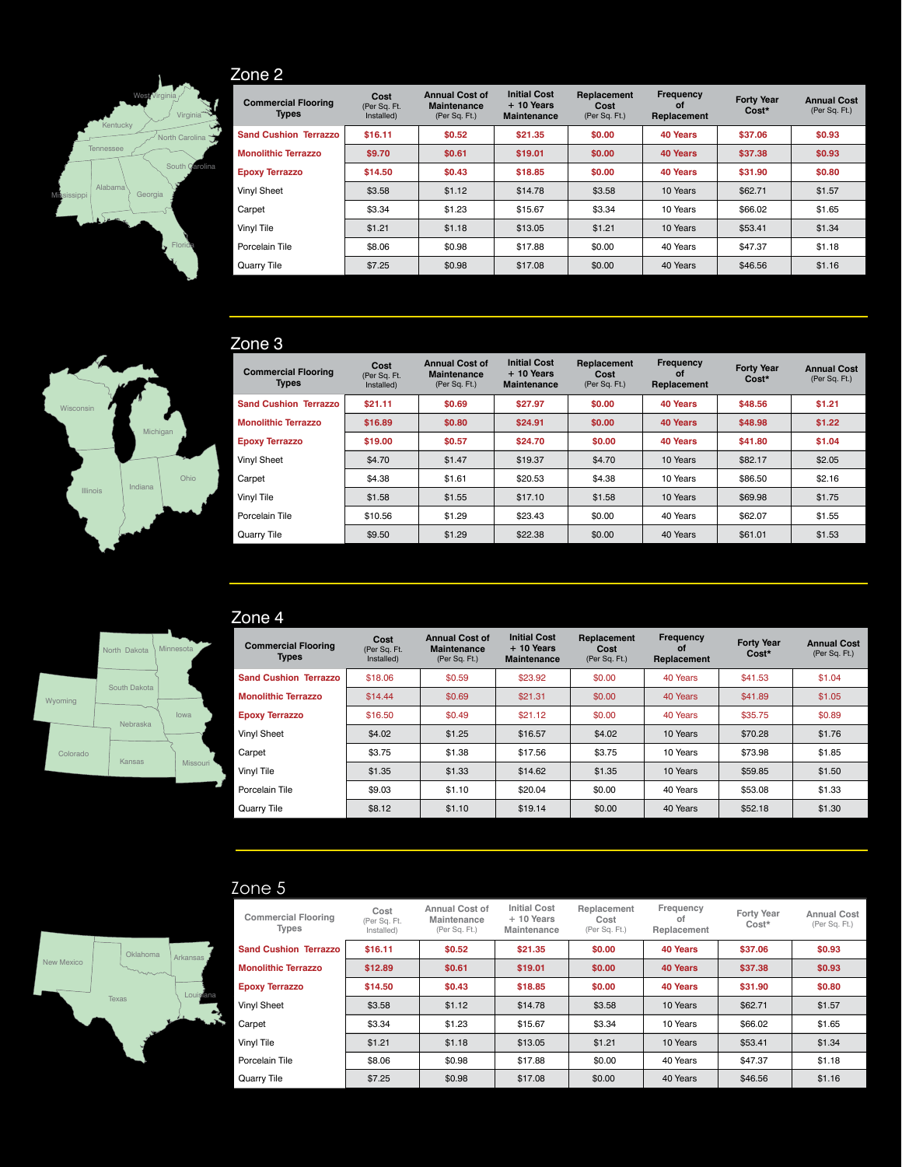

### Zone 2

| <b>Commercial Flooring</b><br><b>Types</b> | Cost<br>(Per Sq. Ft.<br>Installed) | <b>Annual Cost of</b><br><b>Maintenance</b><br>(Per Sq. Ft.) | <b>Initial Cost</b><br>$+10$ Years<br><b>Maintenance</b> | Replacement<br>Cost<br>(Per Sq. Ft.) | <b>Frequency</b><br>οf<br>Replacement | <b>Forty Year</b><br>Cost* | <b>Annual Cost</b><br>(Per Sq. Ft.) |
|--------------------------------------------|------------------------------------|--------------------------------------------------------------|----------------------------------------------------------|--------------------------------------|---------------------------------------|----------------------------|-------------------------------------|
| <b>Sand Cushion Terrazzo</b>               | \$16.11                            | \$0.52                                                       | \$21.35                                                  | \$0.00                               | 40 Years                              | \$37.06                    | \$0.93                              |
| <b>Monolithic Terrazzo</b>                 | \$9.70                             | \$0.61                                                       | \$19.01                                                  | \$0.00                               | 40 Years                              | \$37.38                    | \$0.93                              |
| <b>Epoxy Terrazzo</b>                      | \$14.50                            | \$0.43                                                       | \$18.85                                                  | \$0.00                               | 40 Years                              | \$31.90                    | \$0.80                              |
| Vinyl Sheet                                | \$3.58                             | \$1.12                                                       | \$14.78                                                  | \$3.58                               | 10 Years                              | \$62.71                    | \$1.57                              |
| Carpet                                     | \$3.34                             | \$1.23                                                       | \$15.67                                                  | \$3.34                               | 10 Years                              | \$66.02                    | \$1.65                              |
| Vinyl Tile                                 | \$1.21                             | \$1.18                                                       | \$13.05                                                  | \$1.21                               | 10 Years                              | \$53.41                    | \$1.34                              |
| Porcelain Tile                             | \$8.06                             | \$0.98                                                       | \$17.88                                                  | \$0.00                               | 40 Years                              | \$47.37                    | \$1.18                              |
| Quarry Tile                                | \$7.25                             | \$0.98                                                       | \$17.08                                                  | \$0.00                               | 40 Years                              | \$46.56                    | \$1.16                              |

#### Zone 3

| <b>Commercial Flooring</b><br><b>Types</b> | Cost<br>(Per Sq. Ft.<br>Installed) | <b>Annual Cost of</b><br><b>Maintenance</b><br>(Per Sq. Ft.) | <b>Initial Cost</b><br>$+10$ Years<br><b>Maintenance</b> | Replacement<br>Cost<br>(Per Sq. Ft.) | Frequency<br>οf<br>Replacement | <b>Forty Year</b><br>Cost* | <b>Annual Cost</b><br>(Per Sq. Ft.) |
|--------------------------------------------|------------------------------------|--------------------------------------------------------------|----------------------------------------------------------|--------------------------------------|--------------------------------|----------------------------|-------------------------------------|
| <b>Sand Cushion Terrazzo</b>               | \$21.11                            | \$0.69                                                       | \$27.97                                                  | \$0.00                               | 40 Years                       | \$48.56                    | \$1.21                              |
| <b>Monolithic Terrazzo</b>                 | \$16.89                            | \$0.80                                                       | \$24.91                                                  | \$0.00                               | 40 Years                       | \$48.98                    | \$1.22                              |
| <b>Epoxy Terrazzo</b>                      | \$19.00                            | \$0.57                                                       | \$24.70                                                  | \$0.00                               | 40 Years                       | \$41.80                    | \$1.04                              |
| Vinyl Sheet                                | \$4.70                             | \$1.47                                                       | \$19.37                                                  | \$4.70                               | 10 Years                       | \$82.17                    | \$2.05                              |
| Carpet                                     | \$4.38                             | \$1.61                                                       | \$20.53                                                  | \$4.38                               | 10 Years                       | \$86,50                    | \$2.16                              |
| Vinyl Tile                                 | \$1.58                             | \$1.55                                                       | \$17.10                                                  | \$1.58                               | 10 Years                       | \$69.98                    | \$1.75                              |
| Porcelain Tile                             | \$10.56                            | \$1.29                                                       | \$23.43                                                  | \$0.00                               | 40 Years                       | \$62.07                    | \$1.55                              |
| Quarry Tile                                | \$9.50                             | \$1.29                                                       | \$22.38                                                  | \$0.00                               | 40 Years                       | \$61.01                    | \$1.53                              |





#### Zone 4

| .                                          |                                    |                                                              |                                                          |                                      |                                |                            |                                     |
|--------------------------------------------|------------------------------------|--------------------------------------------------------------|----------------------------------------------------------|--------------------------------------|--------------------------------|----------------------------|-------------------------------------|
| <b>Commercial Flooring</b><br><b>Types</b> | Cost<br>(Per Sq. Ft.<br>Installed) | <b>Annual Cost of</b><br><b>Maintenance</b><br>(Per Sq. Ft.) | <b>Initial Cost</b><br>$+10$ Years<br><b>Maintenance</b> | Replacement<br>Cost<br>(Per Sq. Ft.) | Frequency<br>οf<br>Replacement | <b>Forty Year</b><br>Cost* | <b>Annual Cost</b><br>(Per Sq. Ft.) |
| <b>Sand Cushion Terrazzo</b>               | \$18.06                            | \$0.59                                                       | \$23.92                                                  | \$0.00                               | 40 Years                       | \$41.53                    | \$1.04                              |
| <b>Monolithic Terrazzo</b>                 | \$14.44                            | \$0.69                                                       | \$21.31                                                  | \$0.00                               | 40 Years                       | \$41.89                    | \$1.05                              |
| <b>Epoxy Terrazzo</b>                      | \$16.50                            | \$0.49                                                       | \$21.12                                                  | \$0.00                               | 40 Years                       | \$35.75                    | \$0.89                              |
| Vinyl Sheet                                | \$4.02                             | \$1.25                                                       | \$16.57                                                  | \$4.02                               | 10 Years                       | \$70.28                    | \$1.76                              |
| Carpet                                     | \$3.75                             | \$1.38                                                       | \$17.56                                                  | \$3.75                               | 10 Years                       | \$73.98                    | \$1.85                              |
| Vinyl Tile                                 | \$1.35                             | \$1.33                                                       | \$14.62                                                  | \$1.35                               | 10 Years                       | \$59.85                    | \$1.50                              |
| Porcelain Tile                             | \$9.03                             | \$1.10                                                       | \$20.04                                                  | \$0.00                               | 40 Years                       | \$53.08                    | \$1.33                              |
| Quarry Tile                                | \$8.12                             | \$1.10                                                       | \$19.14                                                  | \$0.00                               | 40 Years                       | \$52.18                    | \$1.30                              |

#### Zone 5



| ט טווט                              |                                    |                                                |                                                   |                                      |                                |                            |                                     |
|-------------------------------------|------------------------------------|------------------------------------------------|---------------------------------------------------|--------------------------------------|--------------------------------|----------------------------|-------------------------------------|
| <b>Commercial Flooring</b><br>Types | Cost<br>(Per Sq. Ft.<br>Installed) | Annual Cost of<br>Maintenance<br>(Per Sq. Ft.) | <b>Initial Cost</b><br>$+10$ Years<br>Maintenance | Replacement<br>Cost<br>(Per Sq. Ft.) | Frequency<br>ΩŤ<br>Replacement | <b>Forty Year</b><br>Cost* | <b>Annual Cost</b><br>(Per Sq. Ft.) |
| <b>Sand Cushion Terrazzo</b>        | \$16.11                            | \$0.52                                         | \$21.35                                           | \$0.00                               | 40 Years                       | \$37.06                    | \$0.93                              |
| <b>Monolithic Terrazzo</b>          | \$12.89                            | \$0.61                                         | \$19.01                                           | \$0.00                               | <b>40 Years</b>                | \$37.38                    | \$0.93                              |
| <b>Epoxy Terrazzo</b>               | \$14.50                            | \$0.43                                         | \$18.85                                           | \$0.00                               | 40 Years                       | \$31.90                    | \$0.80                              |
| Vinyl Sheet                         | \$3.58                             | \$1.12                                         | \$14.78                                           | \$3.58                               | 10 Years                       | \$62.71                    | \$1.57                              |
| Carpet                              | \$3.34                             | \$1.23                                         | \$15.67                                           | \$3.34                               | 10 Years                       | \$66.02                    | \$1.65                              |
| Vinyl Tile                          | \$1.21                             | \$1.18                                         | \$13.05                                           | \$1.21                               | 10 Years                       | \$53.41                    | \$1.34                              |
| Porcelain Tile                      | \$8.06                             | \$0.98                                         | \$17.88                                           | \$0.00                               | 40 Years                       | \$47.37                    | \$1.18                              |
| Quarry Tile                         | \$7.25                             | \$0.98                                         | \$17.08                                           | \$0.00                               | 40 Years                       | \$46.56                    | \$1.16                              |